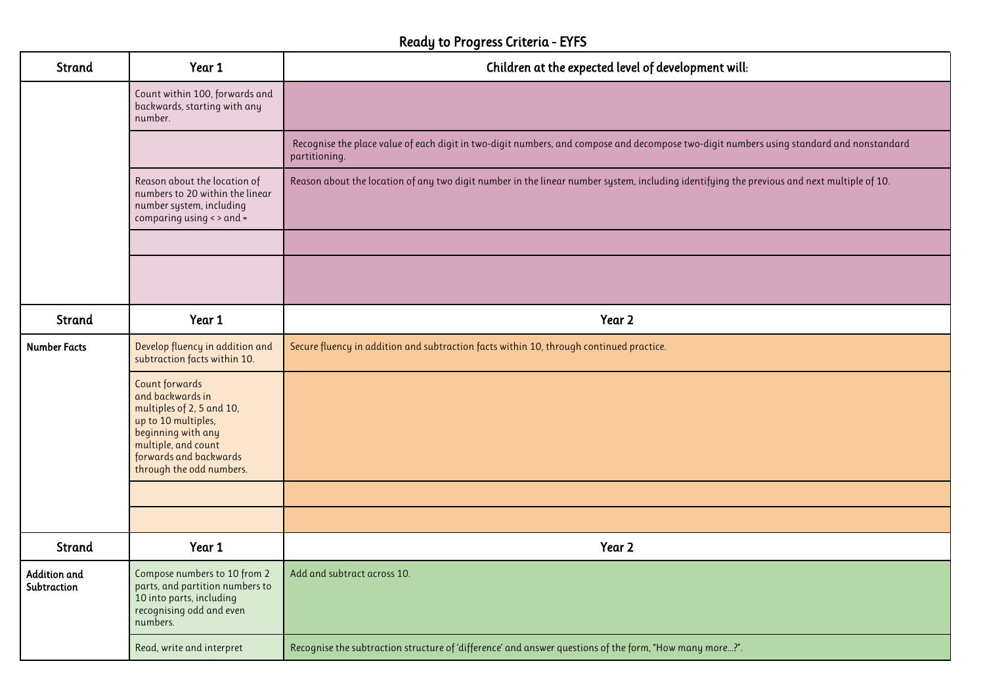## Ready to Progress Criteria - EYFS

| <b>Strand</b>                      | Year 1                                                                                                                                                                                           | Children at the expected level of development will:                                                                                                       |
|------------------------------------|--------------------------------------------------------------------------------------------------------------------------------------------------------------------------------------------------|-----------------------------------------------------------------------------------------------------------------------------------------------------------|
|                                    | Count within 100, forwards and<br>backwards, starting with any<br>number.                                                                                                                        |                                                                                                                                                           |
|                                    |                                                                                                                                                                                                  | Recognise the place value of each digit in two-digit numbers, and compose and decompose two-digit numbers using standard and nonstandard<br>partitioning. |
|                                    | Reason about the location of<br>numbers to 20 within the linear<br>number system, including<br>comparing using < > and =                                                                         | Reason about the location of any two digit number in the linear number system, including identifying the previous and next multiple of 10.                |
|                                    |                                                                                                                                                                                                  |                                                                                                                                                           |
|                                    |                                                                                                                                                                                                  |                                                                                                                                                           |
| <b>Strand</b>                      | Year 1                                                                                                                                                                                           | Year 2                                                                                                                                                    |
| <b>Number Facts</b>                | Develop fluency in addition and<br>subtraction facts within 10.                                                                                                                                  | Secure fluency in addition and subtraction facts within 10, through continued practice.                                                                   |
|                                    | <b>Count forwards</b><br>and backwards in<br>multiples of 2, 5 and 10,<br>up to 10 multiples,<br>beginning with any<br>multiple, and count<br>forwards and backwards<br>through the odd numbers. |                                                                                                                                                           |
|                                    |                                                                                                                                                                                                  |                                                                                                                                                           |
|                                    |                                                                                                                                                                                                  |                                                                                                                                                           |
| <b>Strand</b>                      | Year 1                                                                                                                                                                                           | Year 2                                                                                                                                                    |
| <b>Addition and</b><br>Subtraction | Compose numbers to 10 from 2<br>parts, and partition numbers to<br>10 into parts, including<br>recognising odd and even<br>numbers.                                                              | Add and subtract across 10.                                                                                                                               |
|                                    | Read, write and interpret                                                                                                                                                                        | Recognise the subtraction structure of 'difference' and answer questions of the form, "How many more?".                                                   |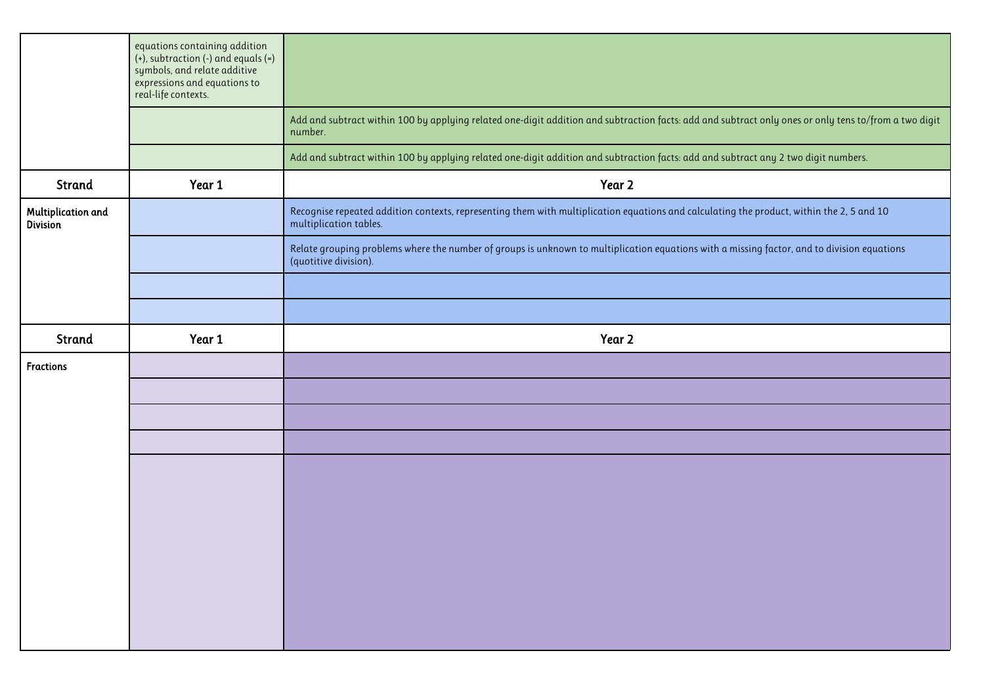|                                       | equations containing addition<br>$(+)$ , subtraction $(-)$ and equals $(=)$<br>symbols, and relate additive<br>expressions and equations to<br>real-life contexts. |                                                                                                                                                                      |
|---------------------------------------|--------------------------------------------------------------------------------------------------------------------------------------------------------------------|----------------------------------------------------------------------------------------------------------------------------------------------------------------------|
|                                       |                                                                                                                                                                    | Add and subtract within 100 by applying related one-digit addition and subtraction facts: add and subtract only ones or only tens to/from a two digit<br>number.     |
|                                       |                                                                                                                                                                    | Add and subtract within 100 by applying related one-digit addition and subtraction facts: add and subtract any 2 two digit numbers.                                  |
| Strand                                | Year 1                                                                                                                                                             | Year 2                                                                                                                                                               |
| Multiplication and<br><b>Division</b> |                                                                                                                                                                    | Recognise repeated addition contexts, representing them with multiplication equations and calculating the product, within the 2, 5 and 10<br>multiplication tables.  |
|                                       |                                                                                                                                                                    | Relate grouping problems where the number of groups is unknown to multiplication equations with a missing factor, and to division equations<br>(quotitive division). |
|                                       |                                                                                                                                                                    |                                                                                                                                                                      |
|                                       |                                                                                                                                                                    |                                                                                                                                                                      |
| Strand                                | Year 1                                                                                                                                                             | Year 2                                                                                                                                                               |
| <b>Fractions</b>                      |                                                                                                                                                                    |                                                                                                                                                                      |
|                                       |                                                                                                                                                                    |                                                                                                                                                                      |
|                                       |                                                                                                                                                                    |                                                                                                                                                                      |
|                                       |                                                                                                                                                                    |                                                                                                                                                                      |
|                                       |                                                                                                                                                                    |                                                                                                                                                                      |
|                                       |                                                                                                                                                                    |                                                                                                                                                                      |
|                                       |                                                                                                                                                                    |                                                                                                                                                                      |
|                                       |                                                                                                                                                                    |                                                                                                                                                                      |
|                                       |                                                                                                                                                                    |                                                                                                                                                                      |
|                                       |                                                                                                                                                                    |                                                                                                                                                                      |
|                                       |                                                                                                                                                                    |                                                                                                                                                                      |